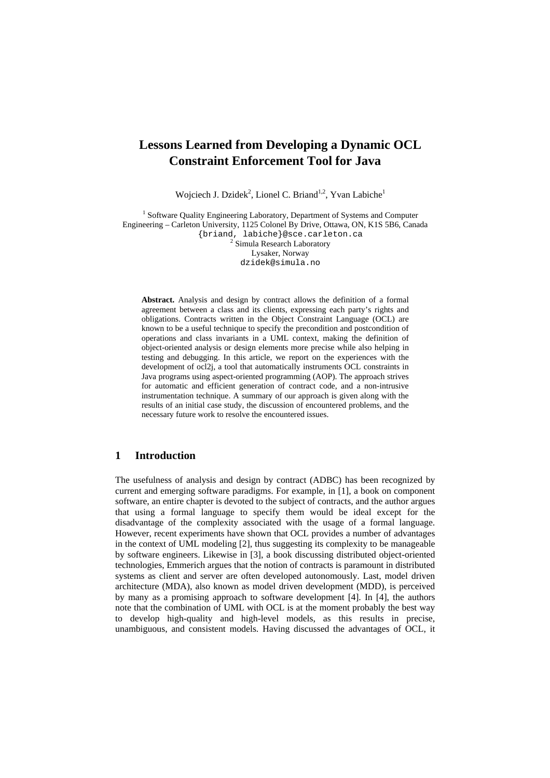# **Lessons Learned from Developing a Dynamic OCL Constraint Enforcement Tool for Java**

Wojciech J. Dzidek<sup>2</sup>, Lionel C. Briand<sup>1,2</sup>, Yvan Labiche<sup>1</sup>

<sup>1</sup> Software Quality Engineering Laboratory, Department of Systems and Computer Engineering – Carleton University, 1125 Colonel By Drive, Ottawa, ON, K1S 5B6, Canada {briand, labiche}@sce.carleton.ca <sup>2</sup> Simula Research Laboratory

> Lysaker, Norway dzidek@simula.no

**Abstract.** Analysis and design by contract allows the definition of a formal agreement between a class and its clients, expressing each party's rights and obligations. Contracts written in the Object Constraint Language (OCL) are known to be a useful technique to specify the precondition and postcondition of operations and class invariants in a UML context, making the definition of object-oriented analysis or design elements more precise while also helping in testing and debugging. In this article, we report on the experiences with the development of ocl2j, a tool that automatically instruments OCL constraints in Java programs using aspect-oriented programming (AOP). The approach strives for automatic and efficient generation of contract code, and a non-intrusive instrumentation technique. A summary of our approach is given along with the results of an initial case study, the discussion of encountered problems, and the necessary future work to resolve the encountered issues.

### **1 Introduction**

The usefulness of analysis and design by contract (ADBC) has been recognized by current and emerging software paradigms. For example, in [1], a book on component software, an entire chapter is devoted to the subject of contracts, and the author argues that using a formal language to specify them would be ideal except for the disadvantage of the complexity associated with the usage of a formal language. However, recent experiments have shown that OCL provides a number of advantages in the context of UML modeling [2], thus suggesting its complexity to be manageable by software engineers. Likewise in [3], a book discussing distributed object-oriented technologies, Emmerich argues that the notion of contracts is paramount in distributed systems as client and server are often developed autonomously. Last, model driven architecture (MDA), also known as model driven development (MDD), is perceived by many as a promising approach to software development [4]. In [4], the authors note that the combination of UML with OCL is at the moment probably the best way to develop high-quality and high-level models, as this results in precise, unambiguous, and consistent models. Having discussed the advantages of OCL, it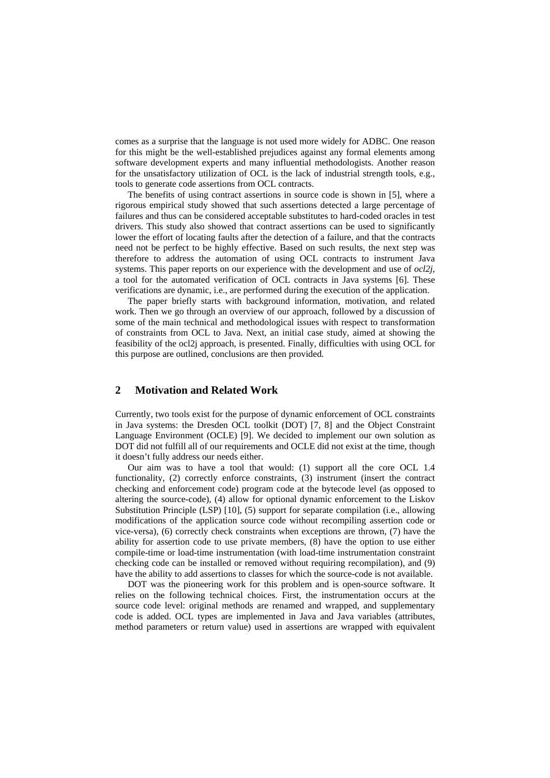comes as a surprise that the language is not used more widely for ADBC. One reason for this might be the well-established prejudices against any formal elements among software development experts and many influential methodologists. Another reason for the unsatisfactory utilization of OCL is the lack of industrial strength tools, e.g., tools to generate code assertions from OCL contracts.

The benefits of using contract assertions in source code is shown in [5], where a rigorous empirical study showed that such assertions detected a large percentage of failures and thus can be considered acceptable substitutes to hard-coded oracles in test drivers. This study also showed that contract assertions can be used to significantly lower the effort of locating faults after the detection of a failure, and that the contracts need not be perfect to be highly effective. Based on such results, the next step was therefore to address the automation of using OCL contracts to instrument Java systems. This paper reports on our experience with the development and use of *ocl2j*, a tool for the automated verification of OCL contracts in Java systems [6]. These verifications are dynamic, i.e., are performed during the execution of the application.

The paper briefly starts with background information, motivation, and related work. Then we go through an overview of our approach, followed by a discussion of some of the main technical and methodological issues with respect to transformation of constraints from OCL to Java. Next, an initial case study, aimed at showing the feasibility of the ocl2j approach, is presented. Finally, difficulties with using OCL for this purpose are outlined, conclusions are then provided*.*

### **2 Motivation and Related Work**

Currently, two tools exist for the purpose of dynamic enforcement of OCL constraints in Java systems: the Dresden OCL toolkit (DOT) [7, 8] and the Object Constraint Language Environment (OCLE) [9]. We decided to implement our own solution as DOT did not fulfill all of our requirements and OCLE did not exist at the time, though it doesn't fully address our needs either.

Our aim was to have a tool that would: (1) support all the core OCL 1.4 functionality, (2) correctly enforce constraints, (3) instrument (insert the contract checking and enforcement code) program code at the bytecode level (as opposed to altering the source-code), (4) allow for optional dynamic enforcement to the Liskov Substitution Principle (LSP) [10], (5) support for separate compilation (i.e., allowing modifications of the application source code without recompiling assertion code or vice-versa), (6) correctly check constraints when exceptions are thrown, (7) have the ability for assertion code to use private members, (8) have the option to use either compile-time or load-time instrumentation (with load-time instrumentation constraint checking code can be installed or removed without requiring recompilation), and (9) have the ability to add assertions to classes for which the source-code is not available.

DOT was the pioneering work for this problem and is open-source software. It relies on the following technical choices. First, the instrumentation occurs at the source code level: original methods are renamed and wrapped, and supplementary code is added. OCL types are implemented in Java and Java variables (attributes, method parameters or return value) used in assertions are wrapped with equivalent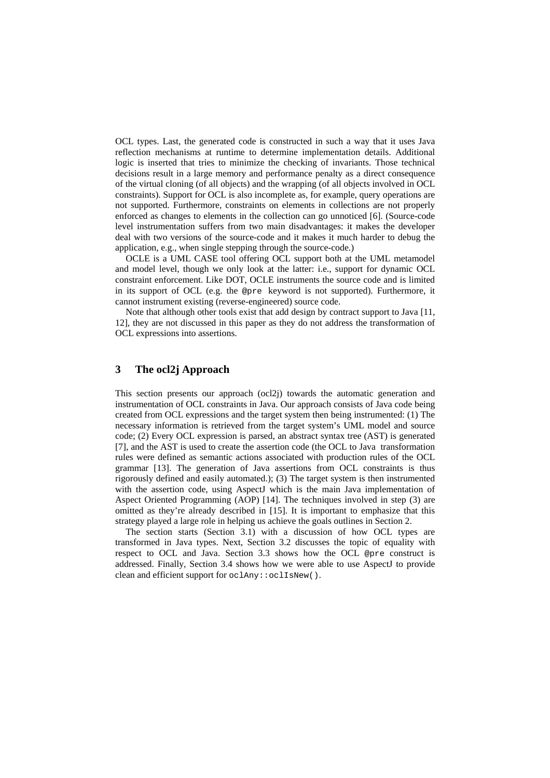OCL types. Last, the generated code is constructed in such a way that it uses Java reflection mechanisms at runtime to determine implementation details. Additional logic is inserted that tries to minimize the checking of invariants. Those technical decisions result in a large memory and performance penalty as a direct consequence of the virtual cloning (of all objects) and the wrapping (of all objects involved in OCL constraints). Support for OCL is also incomplete as, for example, query operations are not supported. Furthermore, constraints on elements in collections are not properly enforced as changes to elements in the collection can go unnoticed [6]. (Source-code level instrumentation suffers from two main disadvantages: it makes the developer deal with two versions of the source-code and it makes it much harder to debug the application, e.g., when single stepping through the source-code.)

OCLE is a UML CASE tool offering OCL support both at the UML metamodel and model level, though we only look at the latter: i.e., support for dynamic OCL constraint enforcement. Like DOT, OCLE instruments the source code and is limited in its support of OCL (e.g. the @pre keyword is not supported). Furthermore, it cannot instrument existing (reverse-engineered) source code.

Note that although other tools exist that add design by contract support to Java [11, 12], they are not discussed in this paper as they do not address the transformation of OCL expressions into assertions.

## **3 The ocl2j Approach**

This section presents our approach (ocl2j) towards the automatic generation and instrumentation of OCL constraints in Java. Our approach consists of Java code being created from OCL expressions and the target system then being instrumented: (1) The necessary information is retrieved from the target system's UML model and source code; (2) Every OCL expression is parsed, an abstract syntax tree (AST) is generated [7], and the AST is used to create the assertion code (the OCL to Java transformation rules were defined as semantic actions associated with production rules of the OCL grammar [13]. The generation of Java assertions from OCL constraints is thus rigorously defined and easily automated.); (3) The target system is then instrumented with the assertion code, using AspectJ which is the main Java implementation of Aspect Oriented Programming (AOP) [14]. The techniques involved in step (3) are omitted as they're already described in [15]. It is important to emphasize that this strategy played a large role in helping us achieve the goals outlines in Section 2.

The section starts (Section 3.1) with a discussion of how OCL types are transformed in Java types. Next, Section 3.2 discusses the topic of equality with respect to OCL and Java. Section 3.3 shows how the OCL @pre construct is addressed. Finally, Section 3.4 shows how we were able to use AspectJ to provide clean and efficient support for oclAny::oclIsNew().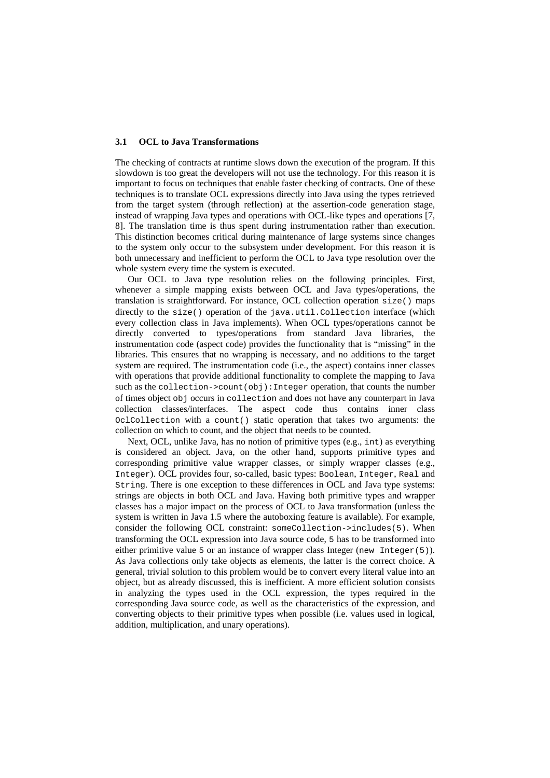#### **3.1 OCL to Java Transformations**

The checking of contracts at runtime slows down the execution of the program. If this slowdown is too great the developers will not use the technology. For this reason it is important to focus on techniques that enable faster checking of contracts. One of these techniques is to translate OCL expressions directly into Java using the types retrieved from the target system (through reflection) at the assertion-code generation stage, instead of wrapping Java types and operations with OCL-like types and operations [7, 8]. The translation time is thus spent during instrumentation rather than execution. This distinction becomes critical during maintenance of large systems since changes to the system only occur to the subsystem under development. For this reason it is both unnecessary and inefficient to perform the OCL to Java type resolution over the whole system every time the system is executed.

Our OCL to Java type resolution relies on the following principles. First, whenever a simple mapping exists between OCL and Java types/operations, the translation is straightforward. For instance, OCL collection operation size() maps directly to the size() operation of the java.util.Collection interface (which every collection class in Java implements). When OCL types/operations cannot be directly converted to types/operations from standard Java libraries, the instrumentation code (aspect code) provides the functionality that is "missing" in the libraries. This ensures that no wrapping is necessary, and no additions to the target system are required. The instrumentation code (i.e., the aspect) contains inner classes with operations that provide additional functionality to complete the mapping to Java such as the collection->count(obj):Integer operation, that counts the number of times object obj occurs in collection and does not have any counterpart in Java collection classes/interfaces. The aspect code thus contains inner class OclCollection with a count() static operation that takes two arguments: the collection on which to count, and the object that needs to be counted.

Next, OCL, unlike Java, has no notion of primitive types (e.g., int) as everything is considered an object. Java, on the other hand, supports primitive types and corresponding primitive value wrapper classes, or simply wrapper classes (e.g., Integer). OCL provides four, so-called, basic types: Boolean, Integer, Real and String. There is one exception to these differences in OCL and Java type systems: strings are objects in both OCL and Java. Having both primitive types and wrapper classes has a major impact on the process of OCL to Java transformation (unless the system is written in Java 1.5 where the autoboxing feature is available). For example, consider the following OCL constraint: someCollection->includes(5). When transforming the OCL expression into Java source code, 5 has to be transformed into either primitive value 5 or an instance of wrapper class Integer (new Integer(5)). As Java collections only take objects as elements, the latter is the correct choice. A general, trivial solution to this problem would be to convert every literal value into an object, but as already discussed, this is inefficient. A more efficient solution consists in analyzing the types used in the OCL expression, the types required in the corresponding Java source code, as well as the characteristics of the expression, and converting objects to their primitive types when possible (i.e. values used in logical, addition, multiplication, and unary operations).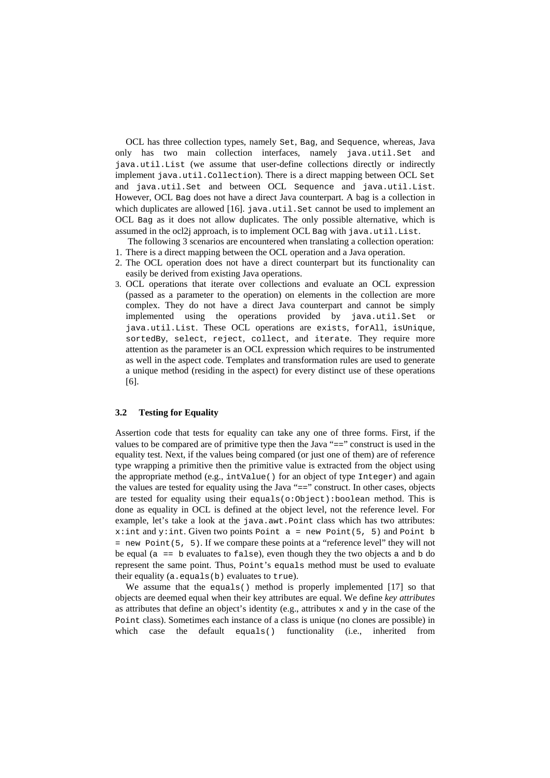OCL has three collection types, namely Set, Bag, and Sequence, whereas, Java only has two main collection interfaces, namely java.util.Set and java.util.List (we assume that user-define collections directly or indirectly implement java.util.Collection). There is a direct mapping between OCL Set and java.util.Set and between OCL Sequence and java.util.List. However, OCL Bag does not have a direct Java counterpart. A bag is a collection in which duplicates are allowed [16]. java.util.Set cannot be used to implement an OCL Bag as it does not allow duplicates. The only possible alternative, which is assumed in the ocl2j approach, is to implement OCL Bag with java.util.List.

The following 3 scenarios are encountered when translating a collection operation:

- 1. There is a direct mapping between the OCL operation and a Java operation.
- 2. The OCL operation does not have a direct counterpart but its functionality can easily be derived from existing Java operations.
- 3. OCL operations that iterate over collections and evaluate an OCL expression (passed as a parameter to the operation) on elements in the collection are more complex. They do not have a direct Java counterpart and cannot be simply implemented using the operations provided by java.util.Set or java.util.List. These OCL operations are exists, forAll, isUnique, sortedBy, select, reject, collect, and iterate. They require more attention as the parameter is an OCL expression which requires to be instrumented as well in the aspect code. Templates and transformation rules are used to generate a unique method (residing in the aspect) for every distinct use of these operations [6].

### **3.2 Testing for Equality**

Assertion code that tests for equality can take any one of three forms. First, if the values to be compared are of primitive type then the Java "==" construct is used in the equality test. Next, if the values being compared (or just one of them) are of reference type wrapping a primitive then the primitive value is extracted from the object using the appropriate method (e.g., intValue() for an object of type Integer) and again the values are tested for equality using the Java "==" construct. In other cases, objects are tested for equality using their equals(o:Object):boolean method. This is done as equality in OCL is defined at the object level, not the reference level. For example, let's take a look at the java.awt.Point class which has two attributes: x: int and y: int. Given two points Point  $a = new Point(5, 5)$  and Point b = new Point(5, 5). If we compare these points at a "reference level" they will not be equal ( $a =$  b evaluates to false), even though they the two objects a and b do represent the same point. Thus, Point's equals method must be used to evaluate their equality  $(a \cdot \text{equals}(b)$  evaluates to true).

We assume that the equals() method is properly implemented [17] so that objects are deemed equal when their key attributes are equal. We define *key attributes* as attributes that define an object's identity (e.g., attributes  $x$  and  $y$  in the case of the Point class). Sometimes each instance of a class is unique (no clones are possible) in which case the default equals() functionality (i.e., inherited from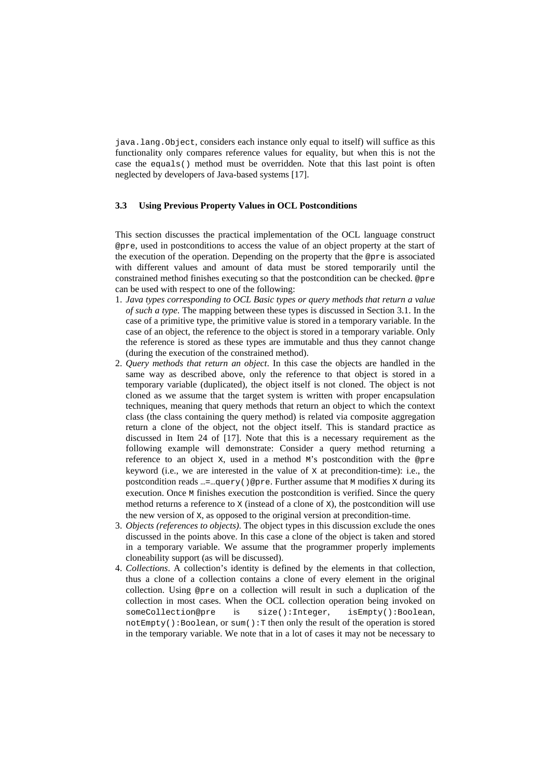java.lang.Object, considers each instance only equal to itself) will suffice as this functionality only compares reference values for equality, but when this is not the case the equals() method must be overridden. Note that this last point is often neglected by developers of Java-based systems [17].

#### **3.3 Using Previous Property Values in OCL Postconditions**

This section discusses the practical implementation of the OCL language construct @pre, used in postconditions to access the value of an object property at the start of the execution of the operation. Depending on the property that the @pre is associated with different values and amount of data must be stored temporarily until the constrained method finishes executing so that the postcondition can be checked. @pre can be used with respect to one of the following:

- 1. *Java types corresponding to OCL Basic types or query methods that return a value of such a type*. The mapping between these types is discussed in Section 3.1. In the case of a primitive type, the primitive value is stored in a temporary variable. In the case of an object, the reference to the object is stored in a temporary variable. Only the reference is stored as these types are immutable and thus they cannot change (during the execution of the constrained method).
- 2. *Query methods that return an object*. In this case the objects are handled in the same way as described above, only the reference to that object is stored in a temporary variable (duplicated), the object itself is not cloned. The object is not cloned as we assume that the target system is written with proper encapsulation techniques, meaning that query methods that return an object to which the context class (the class containing the query method) is related via composite aggregation return a clone of the object, not the object itself. This is standard practice as discussed in Item 24 of [17]. Note that this is a necessary requirement as the following example will demonstrate: Consider a query method returning a reference to an object X, used in a method M's postcondition with the @pre keyword (i.e., we are interested in the value of  $X$  at precondition-time): i.e., the postcondition reads …= ... query () @pre. Further assume that M modifies  $X$  during its execution. Once M finishes execution the postcondition is verified. Since the query method returns a reference to X (instead of a clone of X), the postcondition will use the new version of X, as opposed to the original version at precondition-time.
- 3. *Objects (references to objects)*. The object types in this discussion exclude the ones discussed in the points above. In this case a clone of the object is taken and stored in a temporary variable. We assume that the programmer properly implements cloneability support (as will be discussed).
- 4. *Collections*. A collection's identity is defined by the elements in that collection, thus a clone of a collection contains a clone of every element in the original collection. Using @pre on a collection will result in such a duplication of the collection in most cases. When the OCL collection operation being invoked on someCollection@pre is size():Integer, isEmpty():Boolean, notEmpty():Boolean, or sum():T then only the result of the operation is stored in the temporary variable. We note that in a lot of cases it may not be necessary to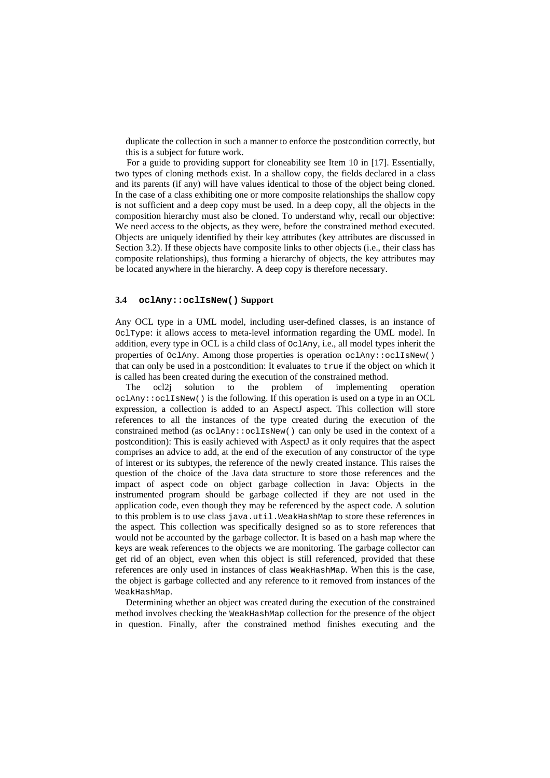duplicate the collection in such a manner to enforce the postcondition correctly, but this is a subject for future work.

For a guide to providing support for cloneability see Item 10 in [17]. Essentially, two types of cloning methods exist. In a shallow copy, the fields declared in a class and its parents (if any) will have values identical to those of the object being cloned. In the case of a class exhibiting one or more composite relationships the shallow copy is not sufficient and a deep copy must be used. In a deep copy, all the objects in the composition hierarchy must also be cloned. To understand why, recall our objective: We need access to the objects, as they were, before the constrained method executed. Objects are uniquely identified by their key attributes (key attributes are discussed in Section 3.2). If these objects have composite links to other objects (i.e., their class has composite relationships), thus forming a hierarchy of objects, the key attributes may be located anywhere in the hierarchy. A deep copy is therefore necessary.

### **3.4 oclAny::oclIsNew() Support**

Any OCL type in a UML model, including user-defined classes, is an instance of OclType: it allows access to meta-level information regarding the UML model. In addition, every type in OCL is a child class of OclAny, i.e., all model types inherit the properties of OclAny. Among those properties is operation oclAny::oclIsNew() that can only be used in a postcondition: It evaluates to true if the object on which it is called has been created during the execution of the constrained method.

The ocl2j solution to the problem of implementing operation oclAny::oclIsNew() is the following. If this operation is used on a type in an OCL expression, a collection is added to an AspectJ aspect. This collection will store references to all the instances of the type created during the execution of the constrained method (as oclAny::oclIsNew() can only be used in the context of a postcondition): This is easily achieved with AspectJ as it only requires that the aspect comprises an advice to add, at the end of the execution of any constructor of the type of interest or its subtypes, the reference of the newly created instance. This raises the question of the choice of the Java data structure to store those references and the impact of aspect code on object garbage collection in Java: Objects in the instrumented program should be garbage collected if they are not used in the application code, even though they may be referenced by the aspect code. A solution to this problem is to use class java.util.WeakHashMap to store these references in the aspect. This collection was specifically designed so as to store references that would not be accounted by the garbage collector. It is based on a hash map where the keys are weak references to the objects we are monitoring. The garbage collector can get rid of an object, even when this object is still referenced, provided that these references are only used in instances of class WeakHashMap. When this is the case, the object is garbage collected and any reference to it removed from instances of the WeakHashMap.

Determining whether an object was created during the execution of the constrained method involves checking the WeakHashMap collection for the presence of the object in question. Finally, after the constrained method finishes executing and the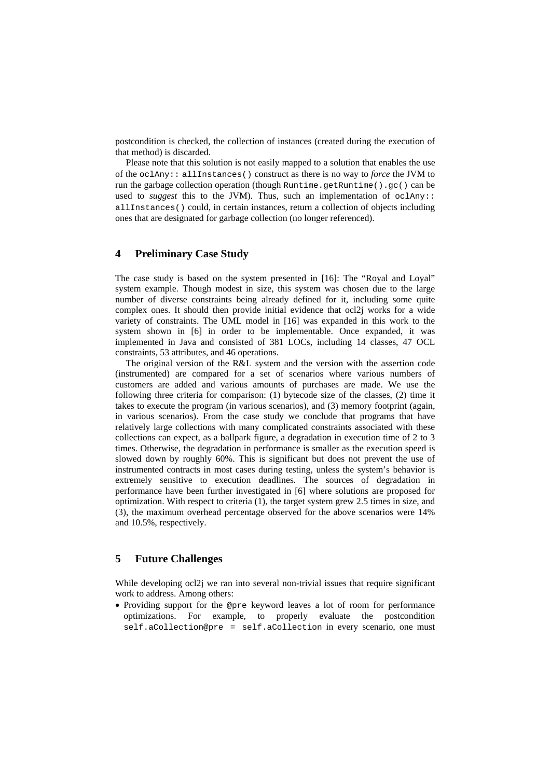postcondition is checked, the collection of instances (created during the execution of that method) is discarded.

Please note that this solution is not easily mapped to a solution that enables the use of the oclAny:: allInstances() construct as there is no way to *force* the JVM to run the garbage collection operation (though Runtime.getRuntime().gc() can be used to *suggest* this to the JVM). Thus, such an implementation of  $oc1Any:$ allInstances() could, in certain instances, return a collection of objects including ones that are designated for garbage collection (no longer referenced).

### **4 Preliminary Case Study**

The case study is based on the system presented in [16]: The "Royal and Loyal" system example. Though modest in size, this system was chosen due to the large number of diverse constraints being already defined for it, including some quite complex ones. It should then provide initial evidence that ocl2j works for a wide variety of constraints. The UML model in [16] was expanded in this work to the system shown in [6] in order to be implementable. Once expanded, it was implemented in Java and consisted of 381 LOCs, including 14 classes, 47 OCL constraints, 53 attributes, and 46 operations.

The original version of the R&L system and the version with the assertion code (instrumented) are compared for a set of scenarios where various numbers of customers are added and various amounts of purchases are made. We use the following three criteria for comparison: (1) bytecode size of the classes, (2) time it takes to execute the program (in various scenarios), and (3) memory footprint (again, in various scenarios). From the case study we conclude that programs that have relatively large collections with many complicated constraints associated with these collections can expect, as a ballpark figure, a degradation in execution time of 2 to 3 times. Otherwise, the degradation in performance is smaller as the execution speed is slowed down by roughly 60%. This is significant but does not prevent the use of instrumented contracts in most cases during testing, unless the system's behavior is extremely sensitive to execution deadlines. The sources of degradation in performance have been further investigated in [6] where solutions are proposed for optimization. With respect to criteria (1), the target system grew 2.5 times in size, and (3), the maximum overhead percentage observed for the above scenarios were 14% and 10.5%, respectively.

### **5 Future Challenges**

While developing ocl2j we ran into several non-trivial issues that require significant work to address. Among others:

• Providing support for the @pre keyword leaves a lot of room for performance optimizations. For example, to properly evaluate the postcondition self.aCollection@pre = self.aCollection in every scenario, one must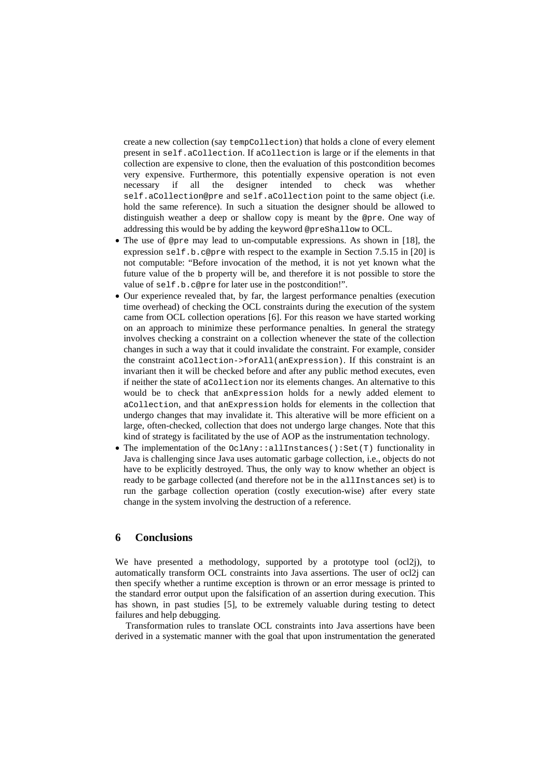create a new collection (say tempCollection) that holds a clone of every element present in self.aCollection. If aCollection is large or if the elements in that collection are expensive to clone, then the evaluation of this postcondition becomes very expensive. Furthermore, this potentially expensive operation is not even necessary if all the designer intended to check was whether self.aCollection@pre and self.aCollection point to the same object (i.e. hold the same reference). In such a situation the designer should be allowed to distinguish weather a deep or shallow copy is meant by the @pre. One way of addressing this would be by adding the keyword @preShallow to OCL.

- The use of  $\varphi$  pre may lead to un-computable expressions. As shown in [18], the expression self.b.c@pre with respect to the example in Section 7.5.15 in [20] is not computable: "Before invocation of the method, it is not yet known what the future value of the b property will be, and therefore it is not possible to store the value of self.b.c@pre for later use in the postcondition!".
- Our experience revealed that, by far, the largest performance penalties (execution time overhead) of checking the OCL constraints during the execution of the system came from OCL collection operations [6]. For this reason we have started working on an approach to minimize these performance penalties. In general the strategy involves checking a constraint on a collection whenever the state of the collection changes in such a way that it could invalidate the constraint. For example, consider the constraint aCollection->forAll(anExpression). If this constraint is an invariant then it will be checked before and after any public method executes, even if neither the state of aCollection nor its elements changes. An alternative to this would be to check that anExpression holds for a newly added element to aCollection, and that anExpression holds for elements in the collection that undergo changes that may invalidate it. This alterative will be more efficient on a large, often-checked, collection that does not undergo large changes. Note that this kind of strategy is facilitated by the use of AOP as the instrumentation technology.
- The implementation of the OclAny::allInstances():Set(T) functionality in Java is challenging since Java uses automatic garbage collection, i.e., objects do not have to be explicitly destroyed. Thus, the only way to know whether an object is ready to be garbage collected (and therefore not be in the allInstances set) is to run the garbage collection operation (costly execution-wise) after every state change in the system involving the destruction of a reference.

### **6 Conclusions**

We have presented a methodology, supported by a prototype tool (ocl2j), to automatically transform OCL constraints into Java assertions. The user of ocl2j can then specify whether a runtime exception is thrown or an error message is printed to the standard error output upon the falsification of an assertion during execution. This has shown, in past studies [5], to be extremely valuable during testing to detect failures and help debugging.

Transformation rules to translate OCL constraints into Java assertions have been derived in a systematic manner with the goal that upon instrumentation the generated